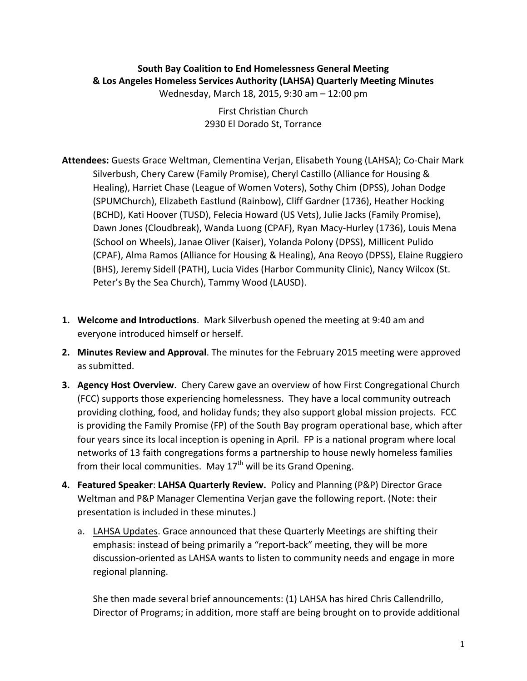#### **South Bay Coalition to End Homelessness General Meeting & Los Angeles Homeless Services Authority (LAHSA) Quarterly Meeting Minutes** Wednesday, March 18, 2015, 9:30 am - 12:00 pm

First Christian Church 2930 El Dorado St, Torrance

Attendees: Guests Grace Weltman, Clementina Verjan, Elisabeth Young (LAHSA); Co-Chair Mark Silverbush, Chery Carew (Family Promise), Cheryl Castillo (Alliance for Housing & Healing), Harriet Chase (League of Women Voters), Sothy Chim (DPSS), Johan Dodge (SPUMChurch), Elizabeth Eastlund (Rainbow), Cliff Gardner (1736), Heather Hocking (BCHD), Kati Hoover (TUSD), Felecia Howard (US Vets), Julie Jacks (Family Promise), Dawn Jones (Cloudbreak), Wanda Luong (CPAF), Ryan Macy-Hurley (1736), Louis Mena (School on Wheels), Janae Oliver (Kaiser), Yolanda Polony (DPSS), Millicent Pulido (CPAF), Alma Ramos (Alliance for Housing & Healing), Ana Reoyo (DPSS), Elaine Ruggiero (BHS), Jeremy Sidell (PATH), Lucia Vides (Harbor Community Clinic), Nancy Wilcox (St. Peter's By the Sea Church), Tammy Wood (LAUSD).

- **1.** Welcome and Introductions. Mark Silverbush opened the meeting at 9:40 am and everyone introduced himself or herself.
- **2.** Minutes Review and Approval. The minutes for the February 2015 meeting were approved as submitted.
- **3. Agency Host Overview**. Chery Carew gave an overview of how First Congregational Church (FCC) supports those experiencing homelessness. They have a local community outreach providing clothing, food, and holiday funds; they also support global mission projects. FCC is providing the Family Promise (FP) of the South Bay program operational base, which after four years since its local inception is opening in April. FP is a national program where local networks of 13 faith congregations forms a partnership to house newly homeless families from their local communities. May  $17<sup>th</sup>$  will be its Grand Opening.
- 4. **Featured Speaker: LAHSA Quarterly Review.** Policy and Planning (P&P) Director Grace Weltman and P&P Manager Clementina Verjan gave the following report. (Note: their presentation is included in these minutes.)
	- a. LAHSA Updates. Grace announced that these Quarterly Meetings are shifting their emphasis: instead of being primarily a "report-back" meeting, they will be more discussion-oriented as LAHSA wants to listen to community needs and engage in more regional planning.

She then made several brief announcements: (1) LAHSA has hired Chris Callendrillo, Director of Programs; in addition, more staff are being brought on to provide additional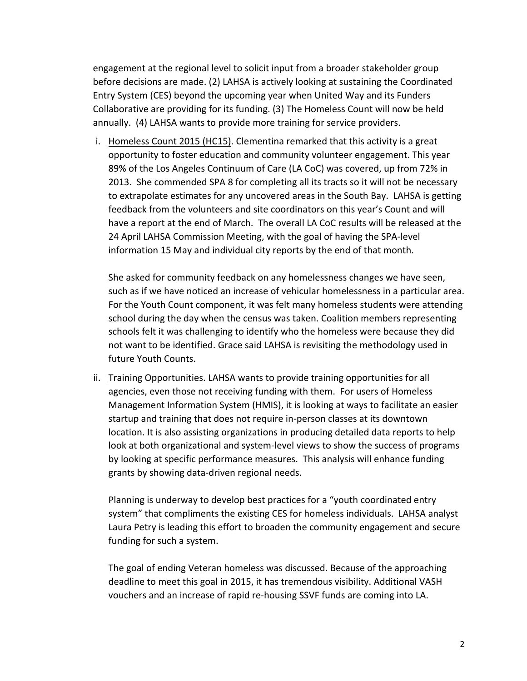engagement at the regional level to solicit input from a broader stakeholder group before decisions are made. (2) LAHSA is actively looking at sustaining the Coordinated Entry System (CES) beyond the upcoming year when United Way and its Funders Collaborative are providing for its funding. (3) The Homeless Count will now be held annually. (4) LAHSA wants to provide more training for service providers.

i. Homeless Count 2015 (HC15). Clementina remarked that this activity is a great opportunity to foster education and community volunteer engagement. This year 89% of the Los Angeles Continuum of Care (LA CoC) was covered, up from 72% in 2013. She commended SPA 8 for completing all its tracts so it will not be necessary to extrapolate estimates for any uncovered areas in the South Bay. LAHSA is getting feedback from the volunteers and site coordinators on this year's Count and will have a report at the end of March. The overall LA CoC results will be released at the 24 April LAHSA Commission Meeting, with the goal of having the SPA-level information 15 May and individual city reports by the end of that month.

She asked for community feedback on any homelessness changes we have seen, such as if we have noticed an increase of vehicular homelessness in a particular area. For the Youth Count component, it was felt many homeless students were attending school during the day when the census was taken. Coalition members representing schools felt it was challenging to identify who the homeless were because they did not want to be identified. Grace said LAHSA is revisiting the methodology used in future Youth Counts.

ii. Training Opportunities. LAHSA wants to provide training opportunities for all agencies, even those not receiving funding with them. For users of Homeless Management Information System (HMIS), it is looking at ways to facilitate an easier startup and training that does not require in-person classes at its downtown location. It is also assisting organizations in producing detailed data reports to help look at both organizational and system-level views to show the success of programs by looking at specific performance measures. This analysis will enhance funding grants by showing data-driven regional needs.

Planning is underway to develop best practices for a "youth coordinated entry system" that compliments the existing CES for homeless individuals. LAHSA analyst Laura Petry is leading this effort to broaden the community engagement and secure funding for such a system.

The goal of ending Veteran homeless was discussed. Because of the approaching deadline to meet this goal in 2015, it has tremendous visibility. Additional VASH vouchers and an increase of rapid re-housing SSVF funds are coming into LA.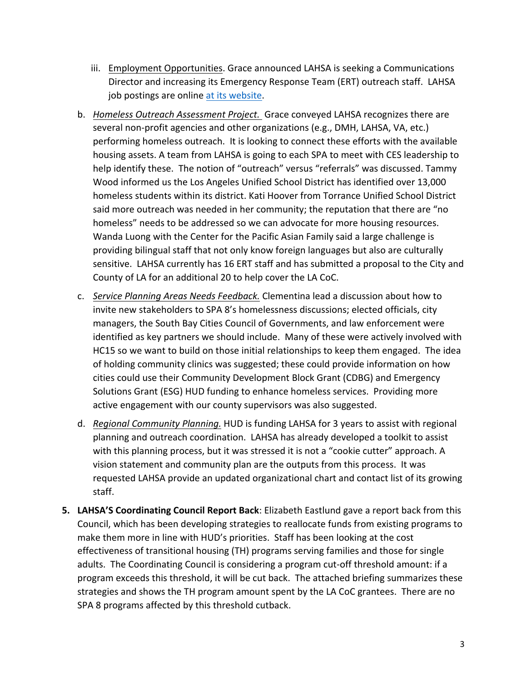- iii. Employment Opportunities. Grace announced LAHSA is seeking a Communications Director and increasing its Emergency Response Team (ERT) outreach staff. LAHSA job postings are online at its website.
- b. *Homeless Outreach Assessment Project.* Grace conveyed LAHSA recognizes there are several non-profit agencies and other organizations (e.g., DMH, LAHSA, VA, etc.) performing homeless outreach. It is looking to connect these efforts with the available housing assets. A team from LAHSA is going to each SPA to meet with CES leadership to help identify these. The notion of "outreach" versus "referrals" was discussed. Tammy Wood informed us the Los Angeles Unified School District has identified over 13,000 homeless students within its district. Kati Hoover from Torrance Unified School District said more outreach was needed in her community; the reputation that there are "no homeless" needs to be addressed so we can advocate for more housing resources. Wanda Luong with the Center for the Pacific Asian Family said a large challenge is providing bilingual staff that not only know foreign languages but also are culturally sensitive. LAHSA currently has 16 ERT staff and has submitted a proposal to the City and County of LA for an additional 20 to help cover the LA CoC.
- c. *Service Planning Areas Needs Feedback.* Clementina lead a discussion about how to invite new stakeholders to SPA 8's homelessness discussions; elected officials, city managers, the South Bay Cities Council of Governments, and law enforcement were identified as key partners we should include. Many of these were actively involved with HC15 so we want to build on those initial relationships to keep them engaged. The idea of holding community clinics was suggested; these could provide information on how cities could use their Community Development Block Grant (CDBG) and Emergency Solutions Grant (ESG) HUD funding to enhance homeless services. Providing more active engagement with our county supervisors was also suggested.
- d. *Regional Community Planning.* HUD is funding LAHSA for 3 years to assist with regional planning and outreach coordination. LAHSA has already developed a toolkit to assist with this planning process, but it was stressed it is not a "cookie cutter" approach. A vision statement and community plan are the outputs from this process. It was requested LAHSA provide an updated organizational chart and contact list of its growing staff.
- **5. LAHSA'S Coordinating Council Report Back:** Elizabeth Eastlund gave a report back from this Council, which has been developing strategies to reallocate funds from existing programs to make them more in line with HUD's priorities. Staff has been looking at the cost effectiveness of transitional housing (TH) programs serving families and those for single adults. The Coordinating Council is considering a program cut-off threshold amount: if a program exceeds this threshold, it will be cut back. The attached briefing summarizes these strategies and shows the TH program amount spent by the LA CoC grantees. There are no SPA 8 programs affected by this threshold cutback.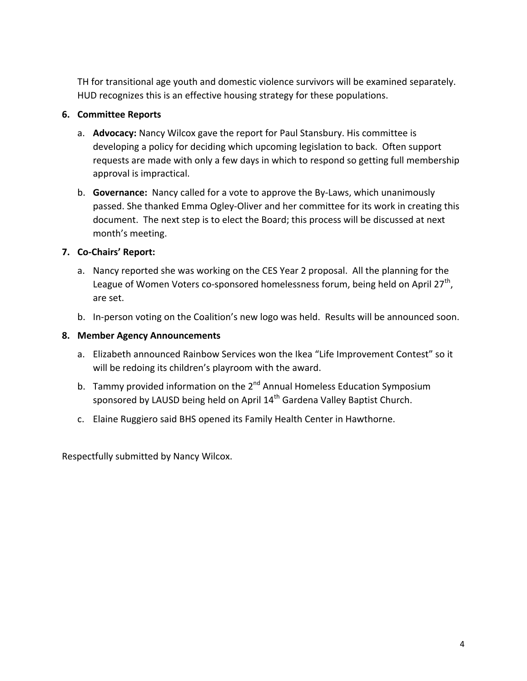TH for transitional age youth and domestic violence survivors will be examined separately. HUD recognizes this is an effective housing strategy for these populations.

#### **6. Committee Reports**

- a. **Advocacy:** Nancy Wilcox gave the report for Paul Stansbury. His committee is developing a policy for deciding which upcoming legislation to back. Often support requests are made with only a few days in which to respond so getting full membership approval is impractical.
- b. **Governance:** Nancy called for a vote to approve the By-Laws, which unanimously passed. She thanked Emma Ogley-Oliver and her committee for its work in creating this document. The next step is to elect the Board; this process will be discussed at next month's meeting.

### **7. Co-Chairs' Report:**

- a. Nancy reported she was working on the CES Year 2 proposal. All the planning for the League of Women Voters co-sponsored homelessness forum, being held on April 27<sup>th</sup>, are set.
- b. In-person voting on the Coalition's new logo was held. Results will be announced soon.

#### **8. Member Agency Announcements**

- a. Elizabeth announced Rainbow Services won the Ikea "Life Improvement Contest" so it will be redoing its children's playroom with the award.
- b. Tammy provided information on the  $2^{nd}$  Annual Homeless Education Symposium sponsored by LAUSD being held on April 14<sup>th</sup> Gardena Valley Baptist Church.
- c. Elaine Ruggiero said BHS opened its Family Health Center in Hawthorne.

Respectfully submitted by Nancy Wilcox.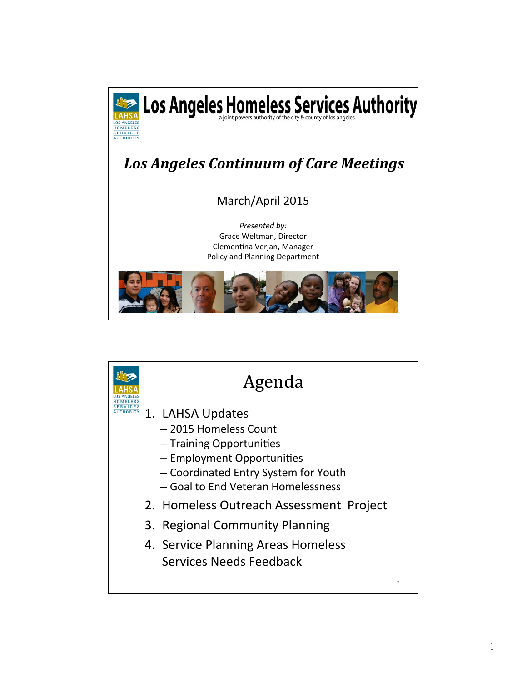

|  | Agenda                                                                                                                                                                            |                |  |  |
|--|-----------------------------------------------------------------------------------------------------------------------------------------------------------------------------------|----------------|--|--|
|  | 1. LAHSA Updates<br>- 2015 Homeless Count<br>- Training Opportunities<br>- Employment Opportunities<br>- Coordinated Entry System for Youth<br>- Goal to End Veteran Homelessness |                |  |  |
|  | 2. Homeless Outreach Assessment Project                                                                                                                                           |                |  |  |
|  | 3. Regional Community Planning                                                                                                                                                    |                |  |  |
|  | 4. Service Planning Areas Homeless<br>Services Needs Feedback                                                                                                                     | $\overline{c}$ |  |  |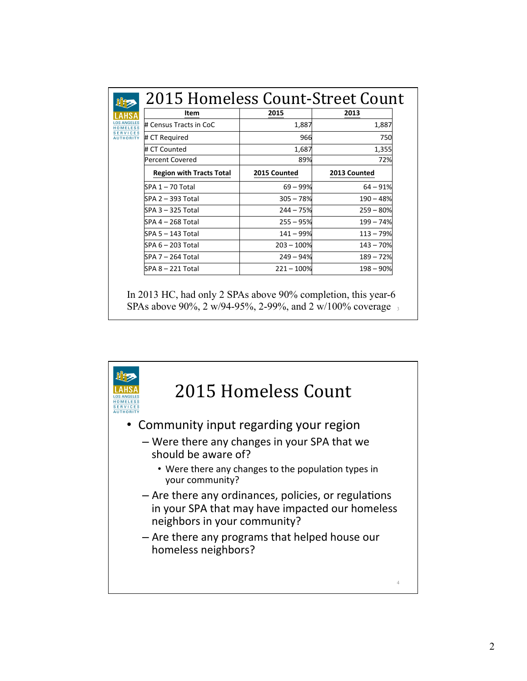| Item                                                 | 2015         | 2013         |
|------------------------------------------------------|--------------|--------------|
| .OS ANGELES<br># Census Tracts in CoC<br>HOMELESS    | 1,887        | 1,887        |
| <b>SERVICES</b><br># CT Required<br><b>AUTHORITY</b> | 966          | 750          |
| # CT Counted                                         | 1,687        | 1,355        |
| lPercent Covered                                     | 89%          | 72%          |
| <b>Region with Tracts Total</b>                      | 2015 Counted | 2013 Counted |
| ISPA 1 – 70 Total                                    | $69 - 99%$   | $64 - 91%$   |
| ISPA 2 – 393 Total                                   | $305 - 78%$  | $190 - 48%$  |
| SPA 3 – 325 Total                                    | $244 - 75%$  | $259 - 80%$  |
| SPA 4 – 268 Total                                    | $255 - 95%$  | 199 - 74%    |
| ISPA 5 – 143 Total                                   | 141 - 99%    | $113 - 79%$  |
| ISPA 6 – 203 Total                                   | $203 - 100%$ | 143 – 70%    |
| ISPA 7 – 264 Total                                   | $249 - 94%$  | 189-72%      |
| ISPA 8 – 221 Total                                   | $221 - 100%$ | $198 - 90%$  |

SPAs above 90%, 2 w/94-95%, 2-99%, and 2 w/100% coverage 3 In 2013 HC, had only 2 SPAs above 90% completion, this year-6

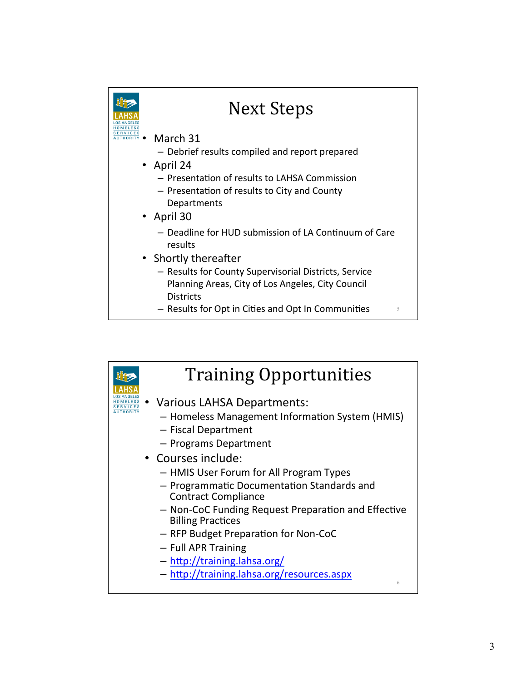

| <b>Training Opportunities</b>                                                                                                                                                                                                                                                                                                                                                                                                                                                                                |
|--------------------------------------------------------------------------------------------------------------------------------------------------------------------------------------------------------------------------------------------------------------------------------------------------------------------------------------------------------------------------------------------------------------------------------------------------------------------------------------------------------------|
| • Various LAHSA Departments:<br>- Homeless Management Information System (HMIS)<br>- Fiscal Department<br>- Programs Department<br>• Courses include:<br>- HMIS User Forum for All Program Types<br>- Programmatic Documentation Standards and<br><b>Contract Compliance</b><br>- Non-CoC Funding Request Preparation and Effective<br><b>Billing Practices</b><br>- RFP Budget Preparation for Non-CoC<br>- Full APR Training<br>- http://training.lahsa.org/<br>- http://training.lahsa.org/resources.aspx |
| 6                                                                                                                                                                                                                                                                                                                                                                                                                                                                                                            |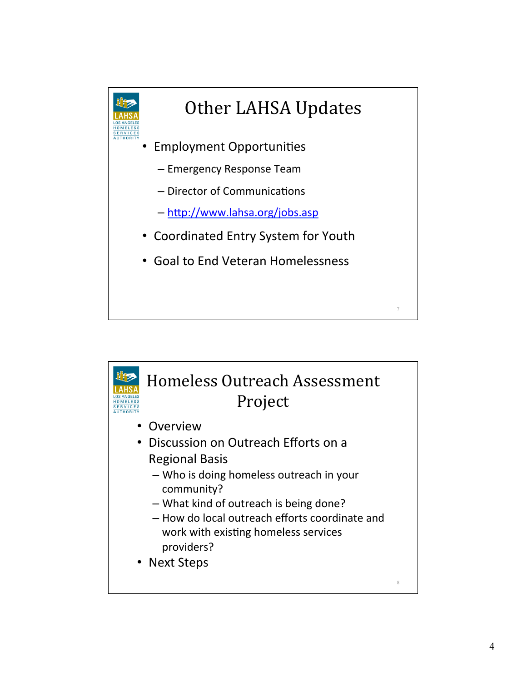

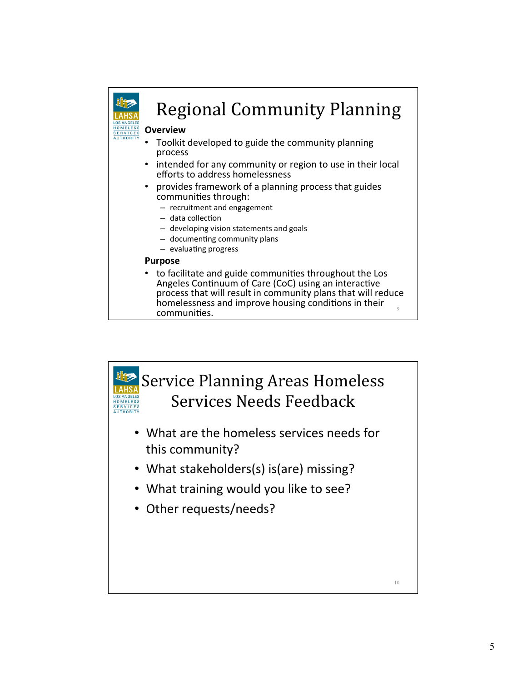

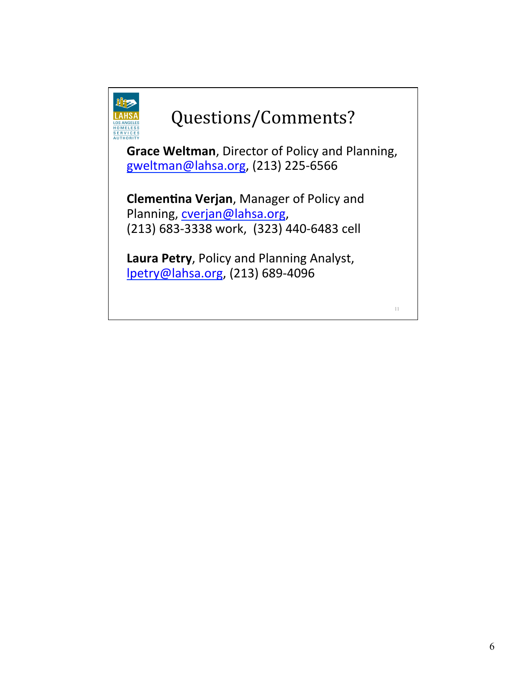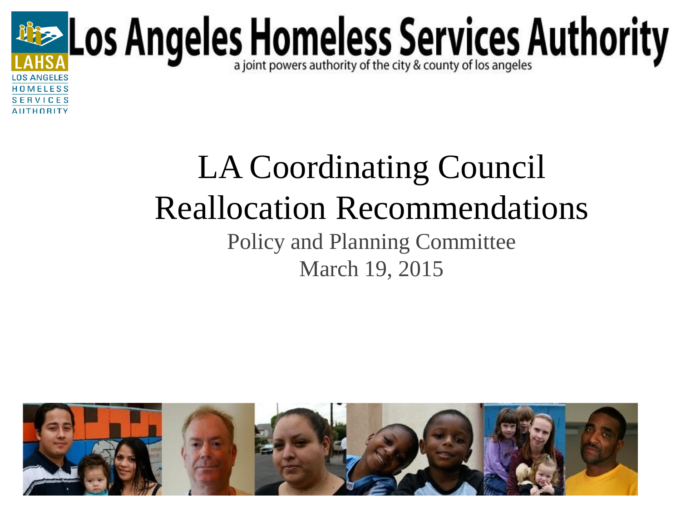

### LA Coordinating Council Reallocation Recommendations Policy and Planning Committee March 19, 2015

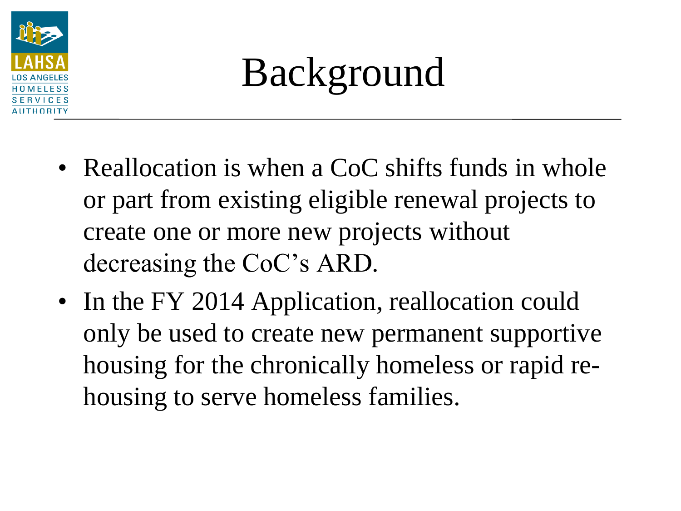

## Background

- Reallocation is when a CoC shifts funds in whole or part from existing eligible renewal projects to create one or more new projects without decreasing the CoC's ARD.
- In the FY 2014 Application, reallocation could only be used to create new permanent supportive housing for the chronically homeless or rapid rehousing to serve homeless families.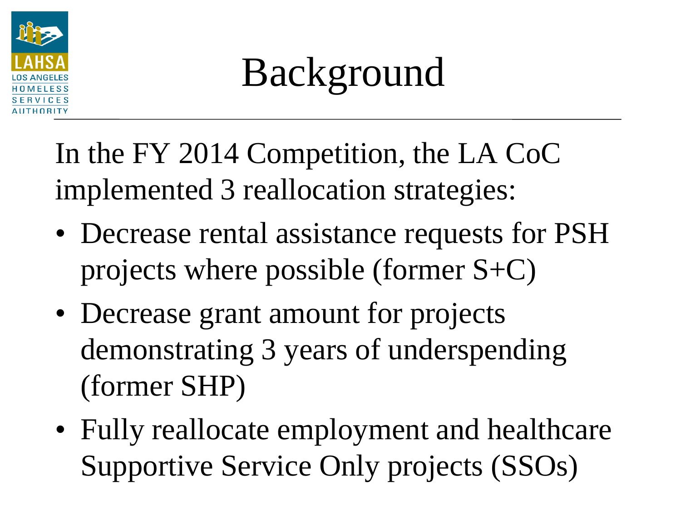

Background

In the FY 2014 Competition, the LA CoC implemented 3 reallocation strategies:

- Decrease rental assistance requests for PSH projects where possible (former S+C)
- Decrease grant amount for projects demonstrating 3 years of underspending (former SHP)
- Fully reallocate employment and healthcare Supportive Service Only projects (SSOs)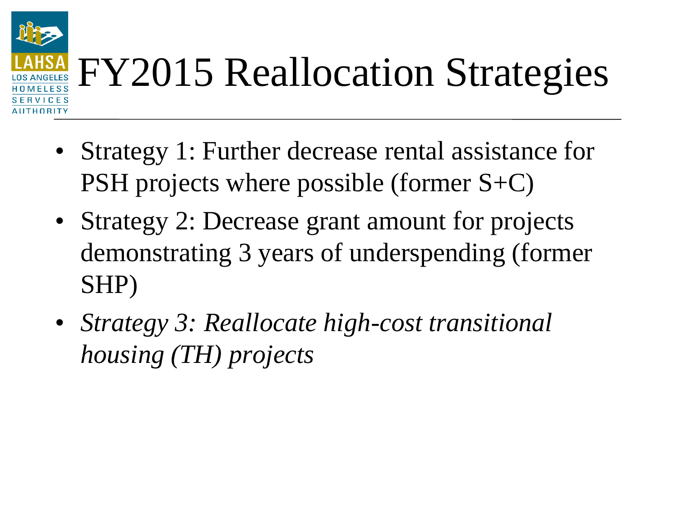

# FY2015 Reallocation Strategies

- Strategy 1: Further decrease rental assistance for PSH projects where possible (former S+C)
- Strategy 2: Decrease grant amount for projects demonstrating 3 years of underspending (former SHP)
- *Strategy 3: Reallocate high-cost transitional housing (TH) projects*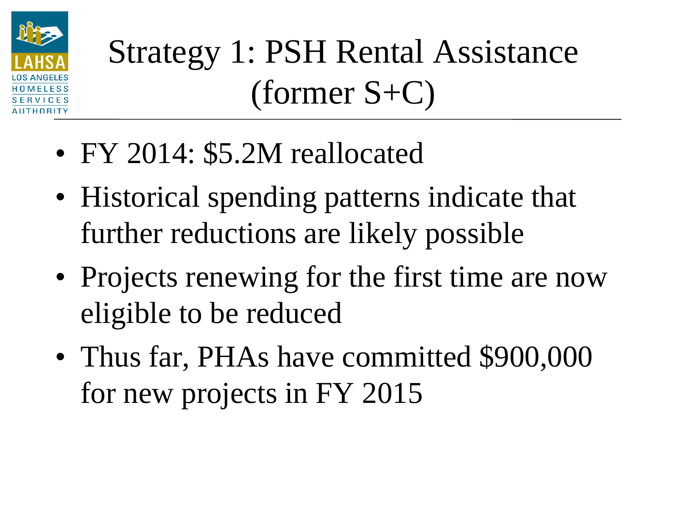

### Strategy 1: PSH Rental Assistance (former  $S+C$ )

- FY 2014: \$5.2M reallocated
- Historical spending patterns indicate that further reductions are likely possible
- Projects renewing for the first time are now eligible to be reduced
- Thus far, PHAs have committed \$900,000 for new projects in FY 2015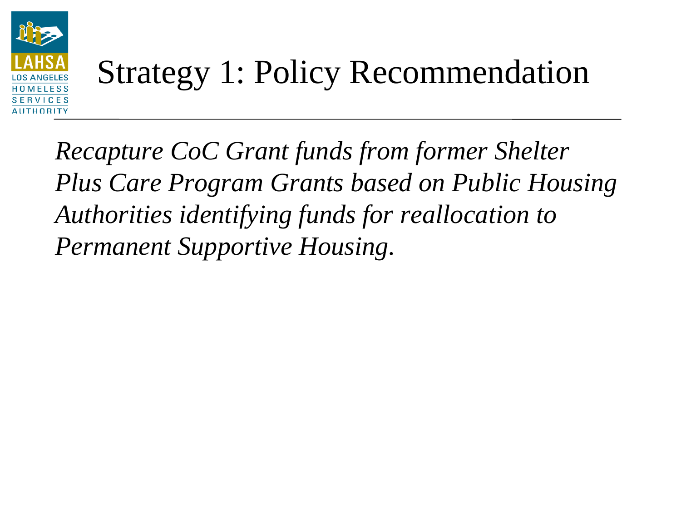

### Strategy 1: Policy Recommendation

*Recapture CoC Grant funds from former Shelter Plus Care Program Grants based on Public Housing Authorities identifying funds for reallocation to Permanent Supportive Housing.*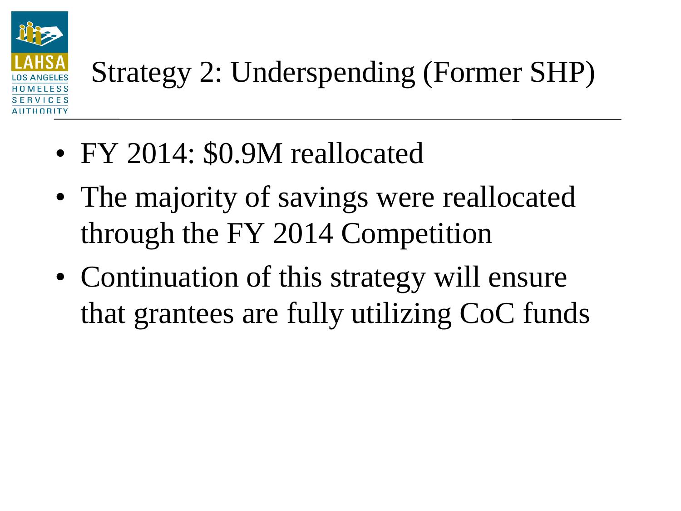

- FY 2014: \$0.9M reallocated
- The majority of savings were reallocated through the FY 2014 Competition
- Continuation of this strategy will ensure that grantees are fully utilizing CoC funds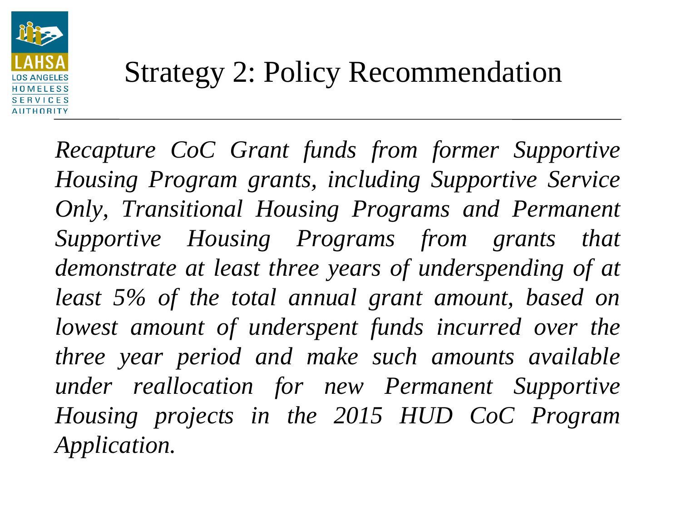

*Recapture CoC Grant funds from former Supportive Housing Program grants, including Supportive Service Only, Transitional Housing Programs and Permanent Supportive Housing Programs from grants that demonstrate at least three years of underspending of at least 5% of the total annual grant amount, based on lowest amount of underspent funds incurred over the three year period and make such amounts available under reallocation for new Permanent Supportive Housing projects in the 2015 HUD CoC Program Application.*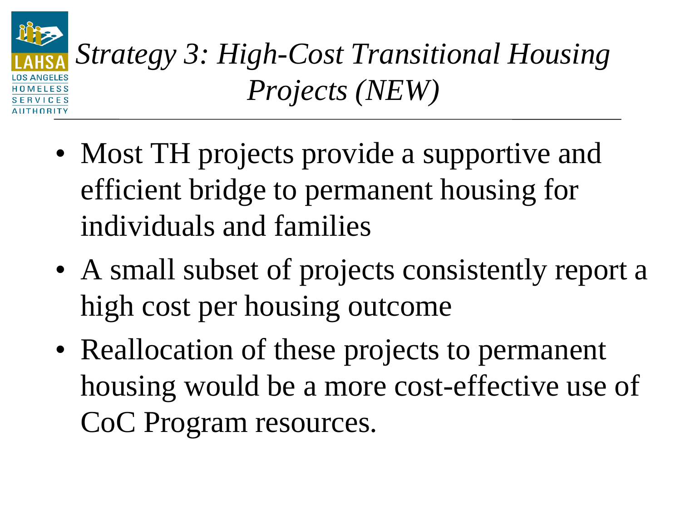

*Strategy 3: High-Cost Transitional Housing Projects (NEW)*

- Most TH projects provide a supportive and efficient bridge to permanent housing for individuals and families
- A small subset of projects consistently report a high cost per housing outcome
- Reallocation of these projects to permanent housing would be a more cost-effective use of CoC Program resources.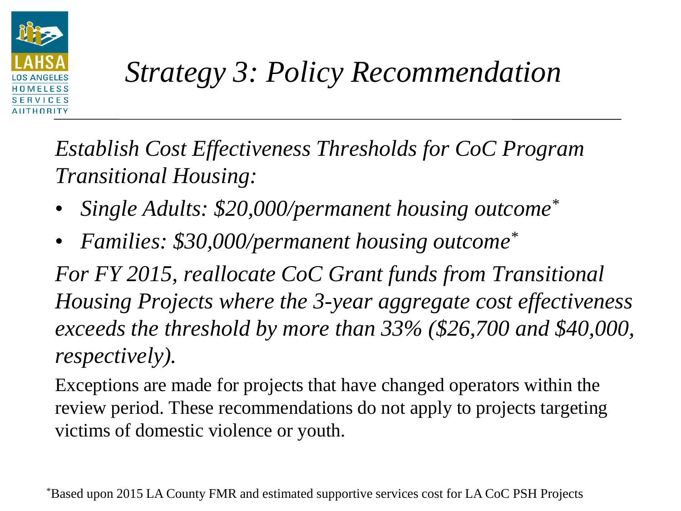

*Establish Cost Effectiveness Thresholds for CoC Program Transitional Housing:*

- *Single Adults: \$20,000/permanent housing outcome\**
- *Families: \$30,000/permanent housing outcome\**

*For FY 2015, reallocate CoC Grant funds from Transitional Housing Projects where the 3-year aggregate cost effectiveness exceeds the threshold by more than 33% (\$26,700 and \$40,000, respectively).*

Exceptions are made for projects that have changed operators within the review period. These recommendations do not apply to projects targeting victims of domestic violence or youth.

\*Based upon 2015 LA County FMR and estimated supportive services cost for LA CoC PSH Projects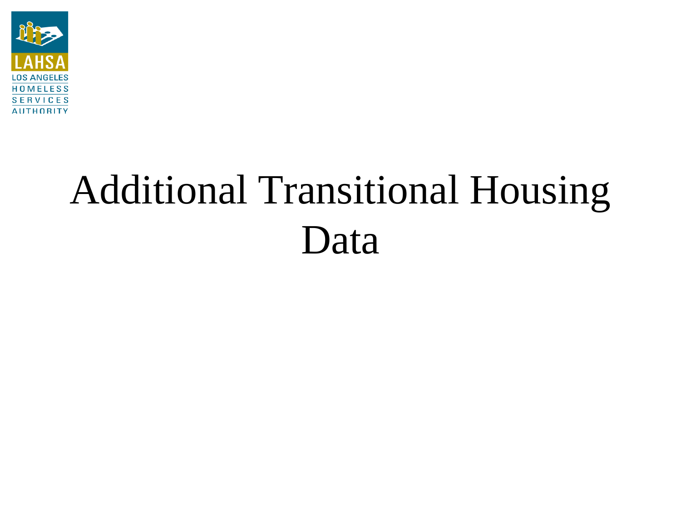

## Additional Transitional Housing Data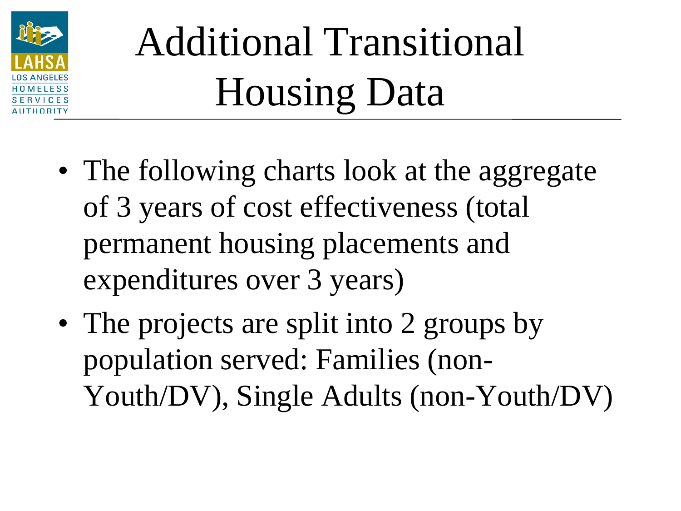

## Additional Transitional Housing Data

- The following charts look at the aggregate of 3 years of cost effectiveness (total permanent housing placements and expenditures over 3 years)
- The projects are split into 2 groups by population served: Families (non-Youth/DV), Single Adults (non-Youth/DV)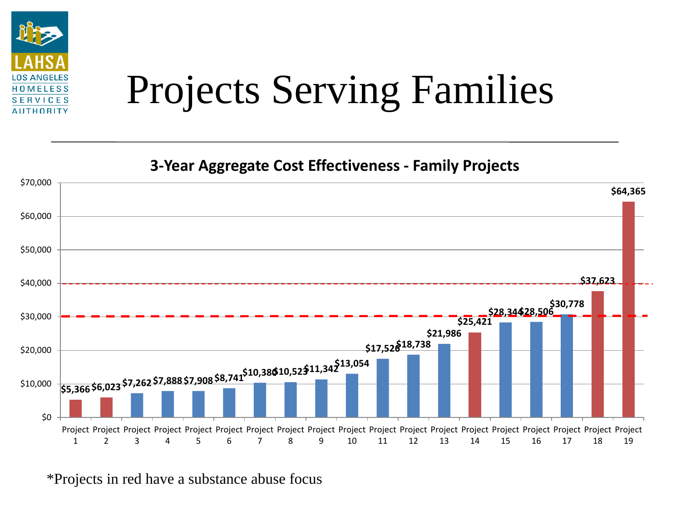

## Projects Serving Families

**3-Year Aggregate Cost Effectiveness - Family Projects**



\*Projects in red have a substance abuse focus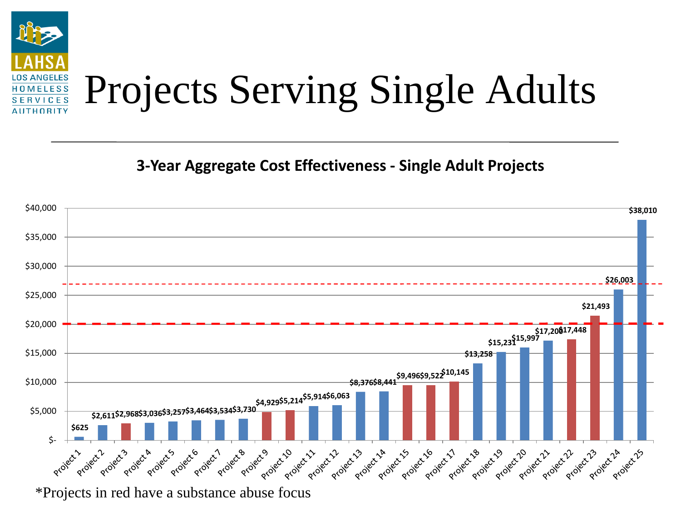

**3-Year Aggregate Cost Effectiveness - Single Adult Projects**



\*Projects in red have a substance abuse focus